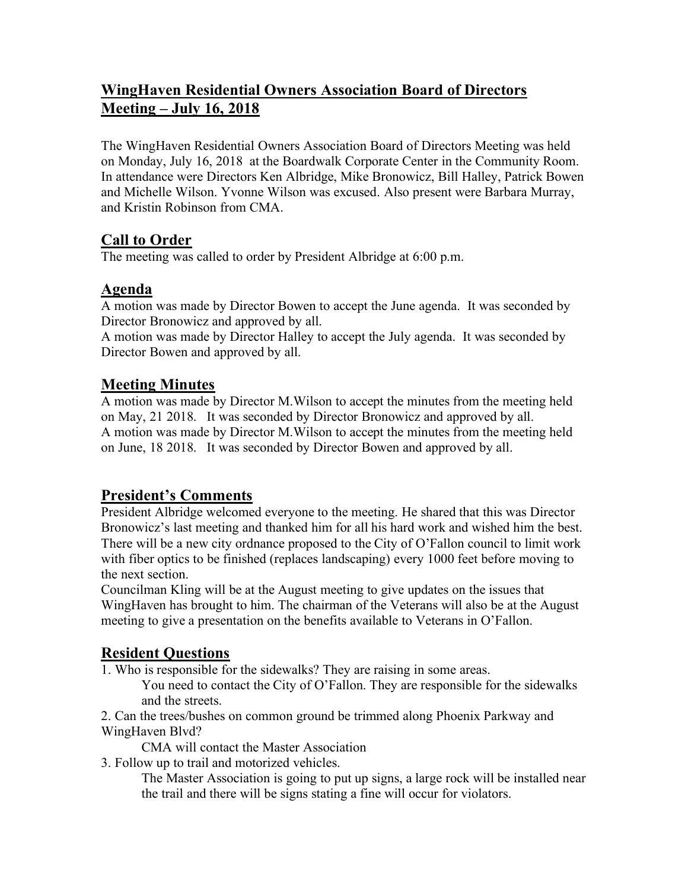# **WingHaven Residential Owners Association Board of Directors Meeting – July 16, 2018**

The WingHaven Residential Owners Association Board of Directors Meeting was held on Monday, July 16, 2018 at the Boardwalk Corporate Center in the Community Room. In attendance were Directors Ken Albridge, Mike Bronowicz, Bill Halley, Patrick Bowen and Michelle Wilson. Yvonne Wilson was excused. Also present were Barbara Murray, and Kristin Robinson from CMA.

## **Call to Order**

The meeting was called to order by President Albridge at 6:00 p.m.

## **Agenda**

A motion was made by Director Bowen to accept the June agenda. It was seconded by Director Bronowicz and approved by all.

A motion was made by Director Halley to accept the July agenda. It was seconded by Director Bowen and approved by all.

## **Meeting Minutes**

A motion was made by Director M.Wilson to accept the minutes from the meeting held on May, 21 2018. It was seconded by Director Bronowicz and approved by all. A motion was made by Director M.Wilson to accept the minutes from the meeting held on June, 18 2018. It was seconded by Director Bowen and approved by all.

## **President's Comments**

President Albridge welcomed everyone to the meeting. He shared that this was Director Bronowicz's last meeting and thanked him for all his hard work and wished him the best. There will be a new city ordnance proposed to the City of O'Fallon council to limit work with fiber optics to be finished (replaces landscaping) every 1000 feet before moving to the next section.

Councilman Kling will be at the August meeting to give updates on the issues that WingHaven has brought to him. The chairman of the Veterans will also be at the August meeting to give a presentation on the benefits available to Veterans in O'Fallon.

## **Resident Questions**

1. Who is responsible for the sidewalks? They are raising in some areas.

You need to contact the City of O'Fallon. They are responsible for the sidewalks and the streets.

2. Can the trees/bushes on common ground be trimmed along Phoenix Parkway and WingHaven Blvd?

CMA will contact the Master Association

3. Follow up to trail and motorized vehicles.

The Master Association is going to put up signs, a large rock will be installed near the trail and there will be signs stating a fine will occur for violators.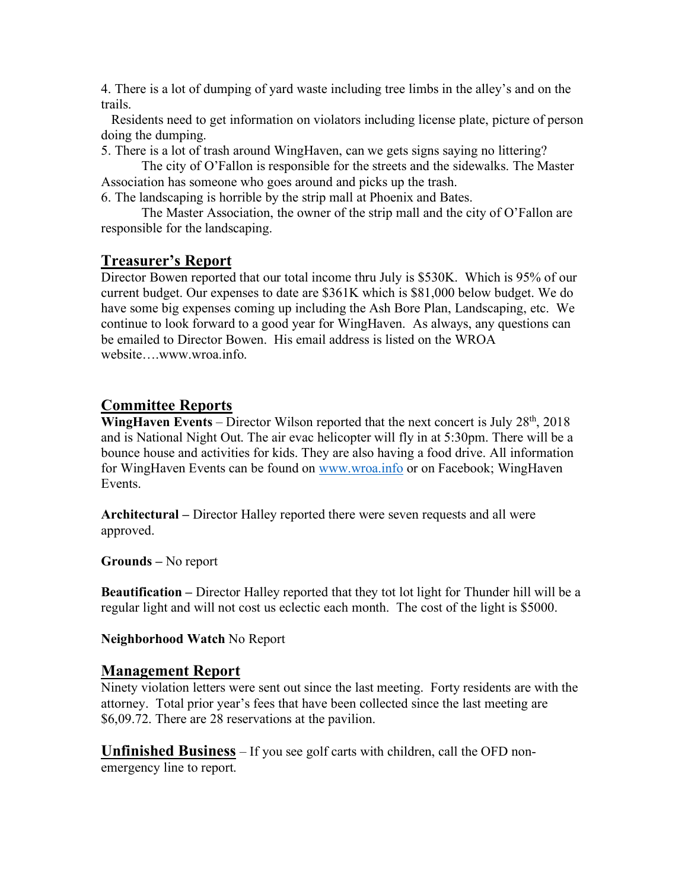4. There is a lot of dumping of yard waste including tree limbs in the alley's and on the trails.

 Residents need to get information on violators including license plate, picture of person doing the dumping.

5. There is a lot of trash around WingHaven, can we gets signs saying no littering?

The city of O'Fallon is responsible for the streets and the sidewalks. The Master Association has someone who goes around and picks up the trash.

6. The landscaping is horrible by the strip mall at Phoenix and Bates.

The Master Association, the owner of the strip mall and the city of O'Fallon are responsible for the landscaping.

#### **Treasurer's Report**

Director Bowen reported that our total income thru July is \$530K. Which is 95% of our current budget. Our expenses to date are \$361K which is \$81,000 below budget. We do have some big expenses coming up including the Ash Bore Plan, Landscaping, etc. We continue to look forward to a good year for WingHaven. As always, any questions can be emailed to Director Bowen. His email address is listed on the WROA website….www.wroa.info.

#### **Committee Reports**

**WingHaven Events** – Director Wilson reported that the next concert is July 28<sup>th</sup>, 2018 and is National Night Out. The air evac helicopter will fly in at 5:30pm. There will be a bounce house and activities for kids. They are also having a food drive. All information for WingHaven Events can be found on www.wroa.info or on Facebook; WingHaven **Events** 

**Architectural –** Director Halley reported there were seven requests and all were approved.

**Grounds –** No report

**Beautification –** Director Halley reported that they tot lot light for Thunder hill will be a regular light and will not cost us eclectic each month. The cost of the light is \$5000.

**Neighborhood Watch** No Report

#### **Management Report**

Ninety violation letters were sent out since the last meeting. Forty residents are with the attorney. Total prior year's fees that have been collected since the last meeting are \$6,09.72. There are 28 reservations at the pavilion.

**Unfinished Business** – If you see golf carts with children, call the OFD nonemergency line to report.